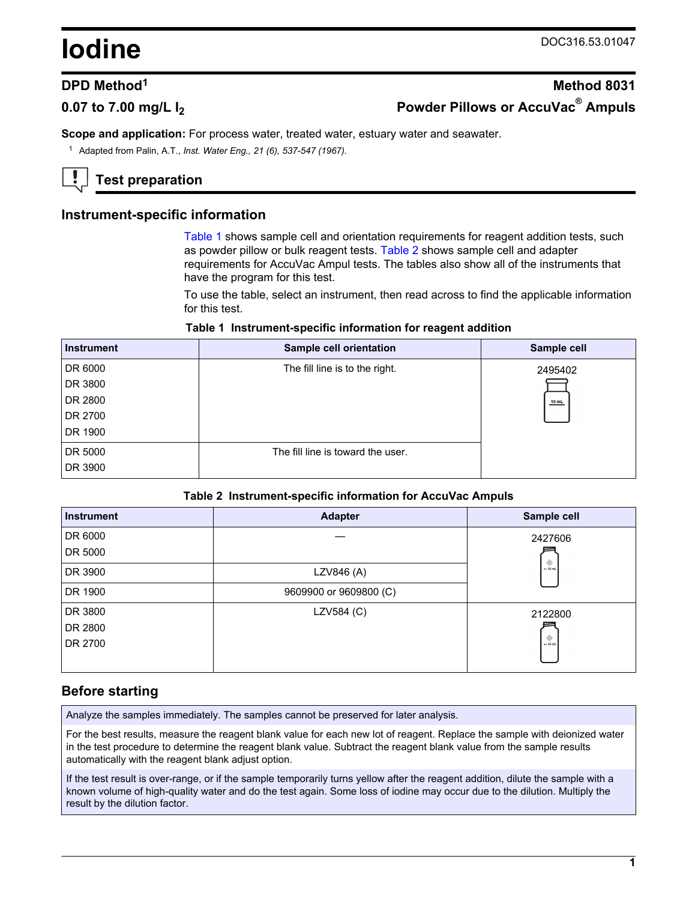# <span id="page-0-0"></span>**Iodine** DOC316.53.01047

# **DPD Method<sup>1</sup> Method 8031 0.07 to 7.00 mg/L I<sup>2</sup> Powder Pillows or AccuVac® Ampuls**

**Scope and application:** For process water, treated water, estuary water and seawater.

<sup>1</sup> Adapted from Palin, A.T., *Inst. Water Eng., 21 (6), 537-547 (1967).*

# **Test preparation**

# **Instrument-specific information**

Table 1 shows sample cell and orientation requirements for reagent addition tests, such as powder pillow or bulk reagent tests. Table 2 shows sample cell and adapter requirements for AccuVac Ampul tests. The tables also show all of the instruments that have the program for this test.

To use the table, select an instrument, then read across to find the applicable information for this test.

#### **Table 1 Instrument-specific information for reagent addition**

| <b>Instrument</b> | <b>Sample cell orientation</b>    | Sample cell |
|-------------------|-----------------------------------|-------------|
| DR 6000           | The fill line is to the right.    | 2495402     |
| DR 3800           |                                   |             |
| DR 2800           |                                   | $10$ mL     |
| DR 2700           |                                   |             |
| DR 1900           |                                   |             |
| DR 5000           | The fill line is toward the user. |             |
| DR 3900           |                                   |             |

#### **Table 2 Instrument-specific information for AccuVac Ampuls**

| <b>Instrument</b> | <b>Adapter</b>         | Sample cell |
|-------------------|------------------------|-------------|
| DR 6000           |                        | 2427606     |
| DR 5000           |                        |             |
| DR 3900           | LZV846 (A)             | $-10$ mL    |
| DR 1900           | 9609900 or 9609800 (C) |             |
| DR 3800           | LZV584 (C)             | 2122800     |
| DR 2800           |                        |             |
| DR 2700           |                        | $= 10$ mL   |
|                   |                        |             |

# **Before starting**

Analyze the samples immediately. The samples cannot be preserved for later analysis.

For the best results, measure the reagent blank value for each new lot of reagent. Replace the sample with deionized water in the test procedure to determine the reagent blank value. Subtract the reagent blank value from the sample results automatically with the reagent blank adjust option.

If the test result is over-range, or if the sample temporarily turns yellow after the reagent addition, dilute the sample with a known volume of high-quality water and do the test again. Some loss of iodine may occur due to the dilution. Multiply the result by the dilution factor.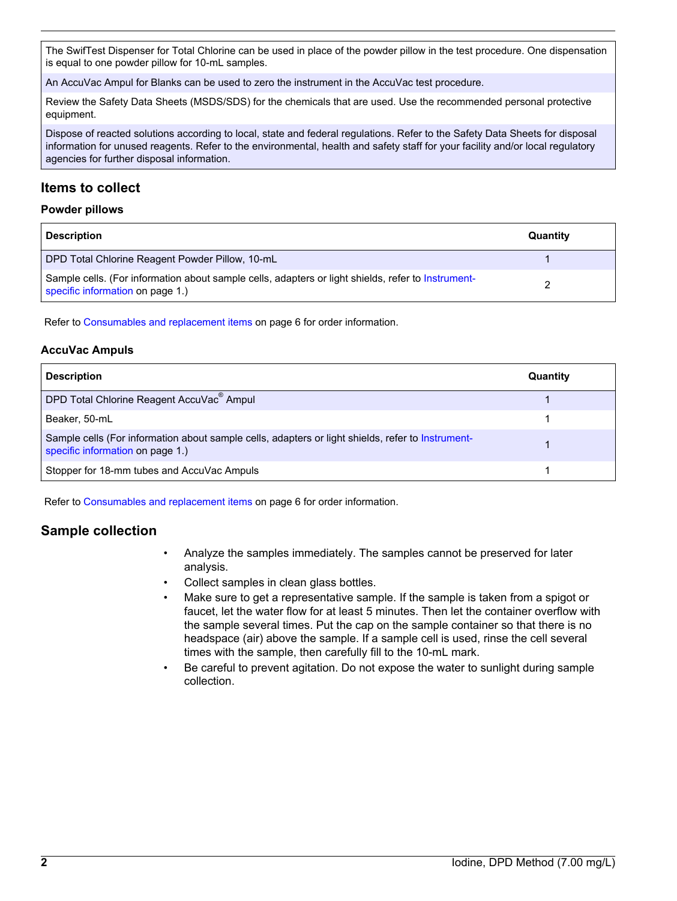The SwifTest Dispenser for Total Chlorine can be used in place of the powder pillow in the test procedure. One dispensation is equal to one powder pillow for 10-mL samples.

An AccuVac Ampul for Blanks can be used to zero the instrument in the AccuVac test procedure.

Review the Safety Data Sheets (MSDS/SDS) for the chemicals that are used. Use the recommended personal protective equipment.

Dispose of reacted solutions according to local, state and federal regulations. Refer to the Safety Data Sheets for disposal information for unused reagents. Refer to the environmental, health and safety staff for your facility and/or local regulatory agencies for further disposal information.

# **Items to collect**

#### **Powder pillows**

| <b>Description</b>                                                                                                                     | Quantity |
|----------------------------------------------------------------------------------------------------------------------------------------|----------|
| DPD Total Chlorine Reagent Powder Pillow, 10-mL                                                                                        |          |
| Sample cells. (For information about sample cells, adapters or light shields, refer to Instrument-<br>specific information on page 1.) |          |

Refer to [Consumables and replacement items](#page-5-0) on page 6 for order information.

#### **AccuVac Ampuls**

| <b>Description</b>                                                                                                                    | Quantity |
|---------------------------------------------------------------------------------------------------------------------------------------|----------|
| DPD Total Chlorine Reagent AccuVac <sup>®</sup> Ampul                                                                                 |          |
| Beaker, 50-mL                                                                                                                         |          |
| Sample cells (For information about sample cells, adapters or light shields, refer to Instrument-<br>specific information on page 1.) |          |
| Stopper for 18-mm tubes and AccuVac Ampuls                                                                                            |          |

Refer to [Consumables and replacement items](#page-5-0) on page 6 for order information.

# **Sample collection**

- Analyze the samples immediately. The samples cannot be preserved for later analysis.
- Collect samples in clean glass bottles.
- Make sure to get a representative sample. If the sample is taken from a spigot or faucet, let the water flow for at least 5 minutes. Then let the container overflow with the sample several times. Put the cap on the sample container so that there is no headspace (air) above the sample. If a sample cell is used, rinse the cell several times with the sample, then carefully fill to the 10-mL mark.
- Be careful to prevent agitation. Do not expose the water to sunlight during sample collection.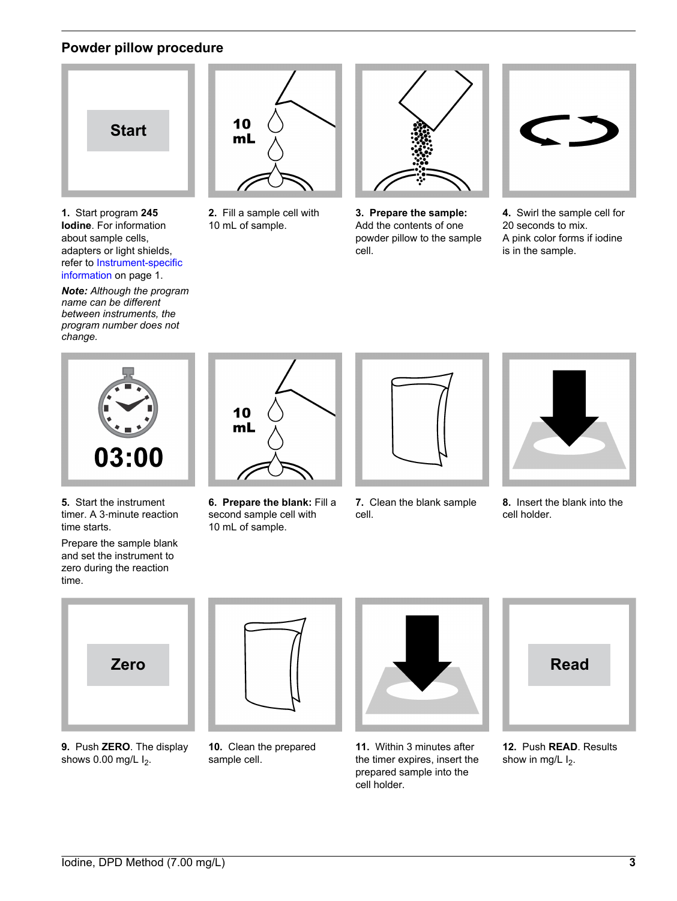# **Powder pillow procedure**



**1.** Start program **245 Iodine**. For information about sample cells, adapters or light shields, refer to [Instrument-specific](#page-0-0) [information](#page-0-0) on page 1.

*Note: Although the program name can be different between instruments, the program number does not change.*



**2.** Fill a sample cell with 10 mL of sample.



**3. Prepare the sample:** Add the contents of one powder pillow to the sample cell.



**4.** Swirl the sample cell for 20 seconds to mix. A pink color forms if iodine is in the sample.



**5.** Start the instrument timer. A 3‑minute reaction time starts.

Prepare the sample blank and set the instrument to zero during the reaction time.



**6. Prepare the blank:** Fill a second sample cell with 10 mL of sample.



**7.** Clean the blank sample cell.



**8.** Insert the blank into the cell holder.



**9.** Push **ZERO**. The display shows  $0.00$  mg/L  $I_2$ .



**10.** Clean the prepared sample cell.



**11.** Within 3 minutes after the timer expires, insert the prepared sample into the cell holder.



**12.** Push **READ**. Results show in mg/L  $I_2$ .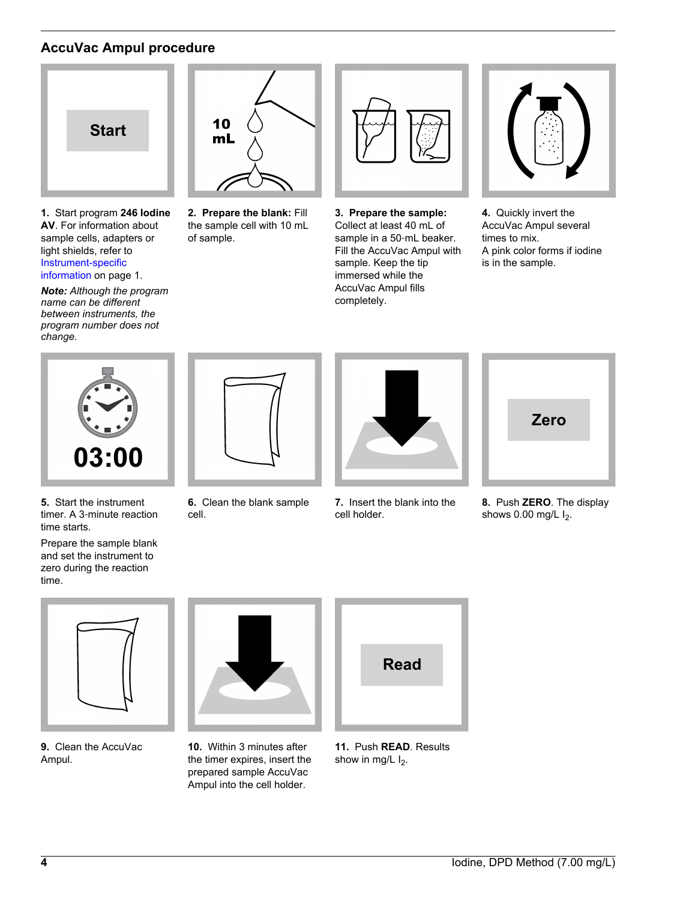# **AccuVac Ampul procedure**



**1.** Start program **246 Iodine AV**. For information about sample cells, adapters or light shields, refer to [Instrument-specific](#page-0-0) [information](#page-0-0) on page 1.

*Note: Although the program name can be different between instruments, the program number does not change.*



**2. Prepare the blank:** Fill the sample cell with 10 mL of sample.



**3. Prepare the sample:** Collect at least 40 mL of sample in a 50-mL beaker. Fill the AccuVac Ampul with sample. Keep the tip immersed while the AccuVac Ampul fills completely.



**4.** Quickly invert the AccuVac Ampul several times to mix. A pink color forms if iodine is in the sample.



**5.** Start the instrument timer. A 3‑minute reaction time starts.

Prepare the sample blank and set the instrument to zero during the reaction time.



**6.** Clean the blank sample cell.



**7.** Insert the blank into the cell holder.



**8.** Push **ZERO**. The display shows  $0.00$  mg/L  $I_2$ .



**9.** Clean the AccuVac Ampul.



**10.** Within 3 minutes after the timer expires, insert the prepared sample AccuVac Ampul into the cell holder.



**11.** Push **READ**. Results show in mg/L  $I_2$ .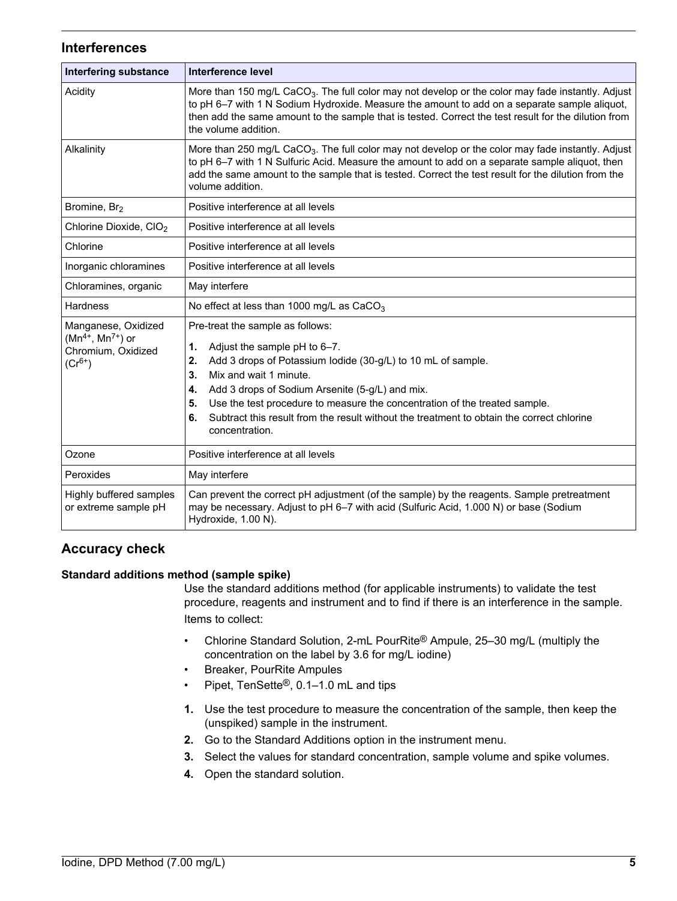## **Interferences**

| <b>Interfering substance</b>                                                        | <b>Interference level</b>                                                                                                                                                                                                                                                                                                                                                                                                                      |  |  |
|-------------------------------------------------------------------------------------|------------------------------------------------------------------------------------------------------------------------------------------------------------------------------------------------------------------------------------------------------------------------------------------------------------------------------------------------------------------------------------------------------------------------------------------------|--|--|
| Acidity                                                                             | More than 150 mg/L CaCO <sub>3</sub> . The full color may not develop or the color may fade instantly. Adjust<br>to pH 6-7 with 1 N Sodium Hydroxide. Measure the amount to add on a separate sample aliquot,<br>then add the same amount to the sample that is tested. Correct the test result for the dilution from<br>the volume addition.                                                                                                  |  |  |
| Alkalinity                                                                          | More than 250 mg/L CaCO <sub>3</sub> . The full color may not develop or the color may fade instantly. Adjust<br>to pH 6-7 with 1 N Sulfuric Acid. Measure the amount to add on a separate sample aliquot, then<br>add the same amount to the sample that is tested. Correct the test result for the dilution from the<br>volume addition.                                                                                                     |  |  |
| Bromine, Br <sub>2</sub>                                                            | Positive interference at all levels                                                                                                                                                                                                                                                                                                                                                                                                            |  |  |
| Chlorine Dioxide, CIO <sub>2</sub>                                                  | Positive interference at all levels                                                                                                                                                                                                                                                                                                                                                                                                            |  |  |
| Chlorine                                                                            | Positive interference at all levels                                                                                                                                                                                                                                                                                                                                                                                                            |  |  |
| Inorganic chloramines                                                               | Positive interference at all levels                                                                                                                                                                                                                                                                                                                                                                                                            |  |  |
| Chloramines, organic                                                                | May interfere                                                                                                                                                                                                                                                                                                                                                                                                                                  |  |  |
| <b>Hardness</b>                                                                     | No effect at less than 1000 mg/L as $CaCO3$                                                                                                                                                                                                                                                                                                                                                                                                    |  |  |
| Manganese, Oxidized<br>$(Mn^{4+}, Mn^{7+})$ or<br>Chromium, Oxidized<br>$(Cr^{6+})$ | Pre-treat the sample as follows:<br>1.<br>Adjust the sample pH to 6-7.<br>Add 3 drops of Potassium lodide (30-g/L) to 10 mL of sample.<br>2.<br>3.<br>Mix and wait 1 minute.<br>Add 3 drops of Sodium Arsenite (5-g/L) and mix.<br>4.<br>Use the test procedure to measure the concentration of the treated sample.<br>5.<br>Subtract this result from the result without the treatment to obtain the correct chlorine<br>6.<br>concentration. |  |  |
| Ozone                                                                               | Positive interference at all levels                                                                                                                                                                                                                                                                                                                                                                                                            |  |  |
| Peroxides                                                                           | May interfere                                                                                                                                                                                                                                                                                                                                                                                                                                  |  |  |
| Highly buffered samples<br>or extreme sample pH                                     | Can prevent the correct pH adjustment (of the sample) by the reagents. Sample pretreatment<br>may be necessary. Adjust to pH 6-7 with acid (Sulfuric Acid, 1.000 N) or base (Sodium<br>Hydroxide, 1.00 N).                                                                                                                                                                                                                                     |  |  |

# **Accuracy check**

#### **Standard additions method (sample spike)**

Use the standard additions method (for applicable instruments) to validate the test procedure, reagents and instrument and to find if there is an interference in the sample. Items to collect:

- Chlorine Standard Solution, 2-mL PourRite<sup>®</sup> Ampule, 25–30 mg/L (multiply the concentration on the label by 3.6 for mg/L iodine)
- Breaker, PourRite Ampules
- Pipet, TenSette<sup>®</sup>, 0.1–1.0 mL and tips
- **1.** Use the test procedure to measure the concentration of the sample, then keep the (unspiked) sample in the instrument.
- **2.** Go to the Standard Additions option in the instrument menu.
- **3.** Select the values for standard concentration, sample volume and spike volumes.
- **4.** Open the standard solution.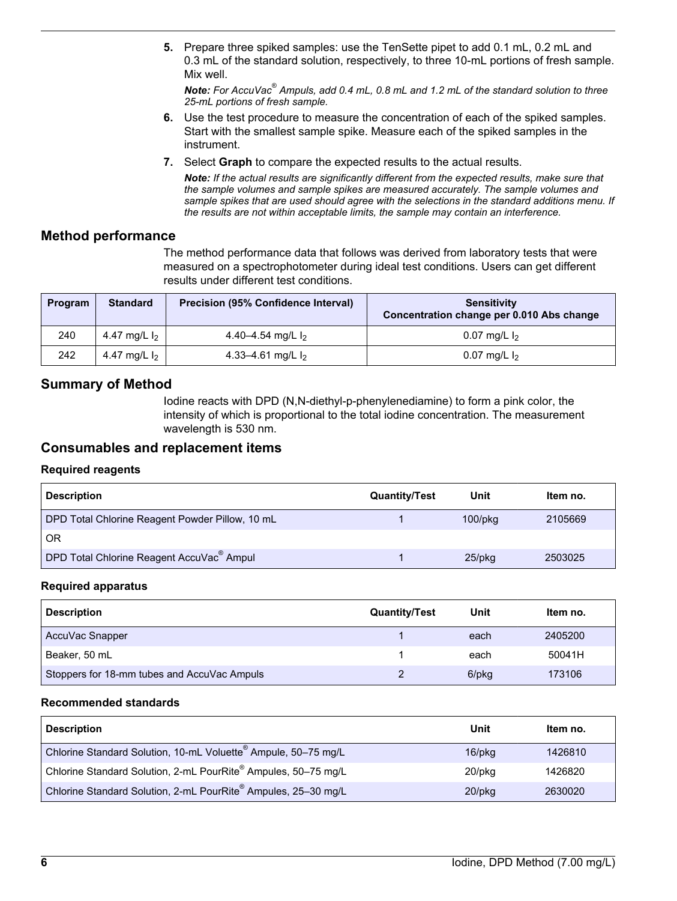<span id="page-5-0"></span>**5.** Prepare three spiked samples: use the TenSette pipet to add 0.1 mL, 0.2 mL and 0.3 mL of the standard solution, respectively, to three 10-mL portions of fresh sample. Mix well.

*Note: For AccuVac® Ampuls, add 0.4 mL, 0.8 mL and 1.2 mL of the standard solution to three 25-mL portions of fresh sample.*

- **6.** Use the test procedure to measure the concentration of each of the spiked samples. Start with the smallest sample spike. Measure each of the spiked samples in the instrument.
- **7.** Select **Graph** to compare the expected results to the actual results.

*Note: If the actual results are significantly different from the expected results, make sure that the sample volumes and sample spikes are measured accurately. The sample volumes and sample spikes that are used should agree with the selections in the standard additions menu. If the results are not within acceptable limits, the sample may contain an interference.*

### **Method performance**

The method performance data that follows was derived from laboratory tests that were measured on a spectrophotometer during ideal test conditions. Users can get different results under different test conditions.

| Program | <b>Standard</b> | <b>Precision (95% Confidence Interval)</b> | <b>Sensitivity</b><br>Concentration change per 0.010 Abs change |
|---------|-----------------|--------------------------------------------|-----------------------------------------------------------------|
| 240     | 4.47 mg/L $I_2$ | 4.40–4.54 mg/L $I_2$                       | 0.07 mg/L $I_2$                                                 |
| 242     | 4.47 mg/L $I_2$ | 4.33–4.61 mg/L $I_2$                       | 0.07 mg/L $I_2$                                                 |

# **Summary of Method**

Iodine reacts with DPD (N,N-diethyl-p-phenylenediamine) to form a pink color, the intensity of which is proportional to the total iodine concentration. The measurement wavelength is 530 nm.

### **Consumables and replacement items**

#### **Required reagents**

| <b>Description</b>                                    | <b>Quantity/Test</b> | Unit       | Item no. |
|-------------------------------------------------------|----------------------|------------|----------|
| DPD Total Chlorine Reagent Powder Pillow, 10 mL       |                      | $100$ /pkg | 2105669  |
| 0 <sub>R</sub>                                        |                      |            |          |
| DPD Total Chlorine Reagent AccuVac <sup>®</sup> Ampul |                      | $25$ /pkq  | 2503025  |

#### **Required apparatus**

| <b>Description</b>                          | <b>Quantity/Test</b> | Unit  | Item no. |
|---------------------------------------------|----------------------|-------|----------|
| AccuVac Snapper                             |                      | each  | 2405200  |
| Beaker, 50 mL                               |                      | each  | 50041H   |
| Stoppers for 18-mm tubes and AccuVac Ampuls |                      | 6/pkg | 173106   |

#### **Recommended standards**

| <b>Description</b>                                             | Unit         | Item no. |
|----------------------------------------------------------------|--------------|----------|
| Chlorine Standard Solution, 10-mL Voluette® Ampule, 50-75 mg/L | $16$ /p $kg$ | 1426810  |
| Chlorine Standard Solution, 2-mL PourRite® Ampules, 50-75 mg/L | 20/pkg       | 1426820  |
| Chlorine Standard Solution, 2-mL PourRite® Ampules, 25-30 mg/L | $20$ /pkq    | 2630020  |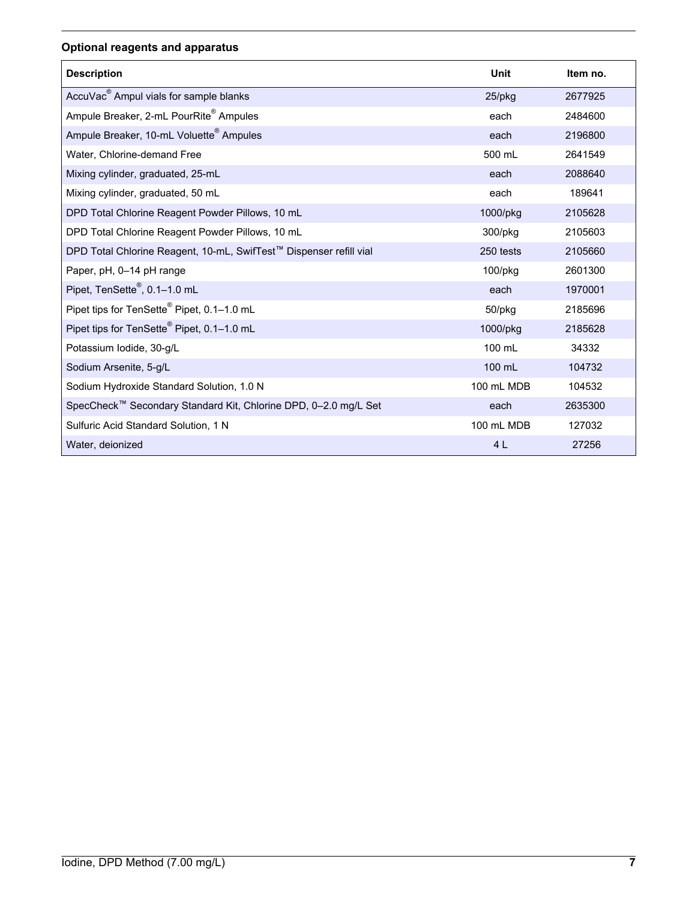# **Optional reagents and apparatus**

| <b>Description</b>                                                 | Unit           | Item no. |
|--------------------------------------------------------------------|----------------|----------|
| AccuVac <sup>®</sup> Ampul vials for sample blanks                 | 25/pkg         | 2677925  |
| Ampule Breaker, 2-mL PourRite <sup>®</sup> Ampules                 | each           | 2484600  |
| Ampule Breaker, 10-mL Voluette <sup>®</sup> Ampules                | each           | 2196800  |
| Water, Chlorine-demand Free                                        | 500 mL         | 2641549  |
| Mixing cylinder, graduated, 25-mL                                  | each           | 2088640  |
| Mixing cylinder, graduated, 50 mL                                  | each           | 189641   |
| DPD Total Chlorine Reagent Powder Pillows, 10 mL                   | 1000/pkg       | 2105628  |
| DPD Total Chlorine Reagent Powder Pillows, 10 mL                   | 300/pkg        | 2105603  |
| DPD Total Chlorine Reagent, 10-mL, SwifTest™ Dispenser refill vial | 250 tests      | 2105660  |
| Paper, pH, 0-14 pH range                                           | 100/pkg        | 2601300  |
| Pipet, TenSette <sup>®</sup> , 0.1-1.0 mL                          | each           | 1970001  |
| Pipet tips for TenSette <sup>®</sup> Pipet, 0.1-1.0 mL             | 50/pkg         | 2185696  |
| Pipet tips for TenSette <sup>®</sup> Pipet, 0.1-1.0 mL             | 1000/pkg       | 2185628  |
| Potassium lodide, 30-g/L                                           | 100 mL         | 34332    |
| Sodium Arsenite, 5-g/L                                             | 100 mL         | 104732   |
| Sodium Hydroxide Standard Solution, 1.0 N                          | 100 mL MDB     | 104532   |
| SpecCheck™ Secondary Standard Kit, Chlorine DPD, 0-2.0 mg/L Set    | each           | 2635300  |
| Sulfuric Acid Standard Solution, 1 N                               | 100 mL MDB     | 127032   |
| Water, deionized                                                   | 4 <sub>L</sub> | 27256    |